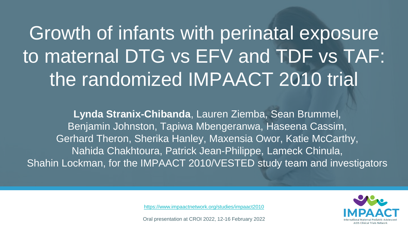### Growth of infants with perinatal exposure to maternal DTG vs EFV and TDF vs TAF: the randomized IMPAACT 2010 trial

**Lynda Stranix-Chibanda**, Lauren Ziemba, Sean Brummel, Benjamin Johnston, Tapiwa Mbengeranwa, Haseena Cassim, Gerhard Theron, Sherika Hanley, Maxensia Owor, Katie McCarthy, Nahida Chakhtoura, Patrick Jean-Philippe, Lameck Chinula, Shahin Lockman, for the IMPAACT 2010/VESTED study team and investigators



<https://www.impaactnetwork.org/studies/impaact2010>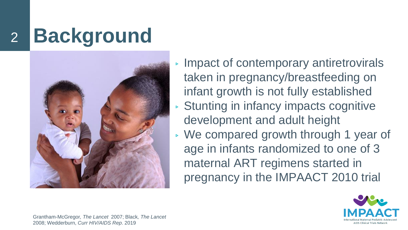# <sup>2</sup> **Background**



▹ Impact of contemporary antiretrovirals taken in pregnancy/breastfeeding on infant growth is not fully established ▹ Stunting in infancy impacts cognitive development and adult height ▹ We compared growth through 1 year of age in infants randomized to one of 3 maternal ART regimens started in pregnancy in the IMPAACT 2010 trial



Grantham-McGregor*, The Lancet* 2007; Black*, The Lancet*  2008; Wedderburn, *Curr HIV/AIDS Rep*. 2019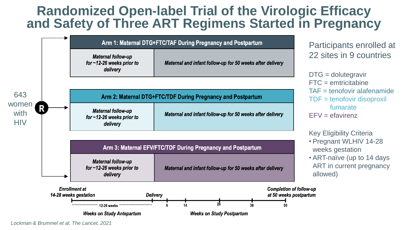#### **Randomized Open-label Trial of the Virologic Efficacy and Safety of Three ART Regimens Started in Pregnancy**



*Lockman & Brummel et al, The Lancet, 2021*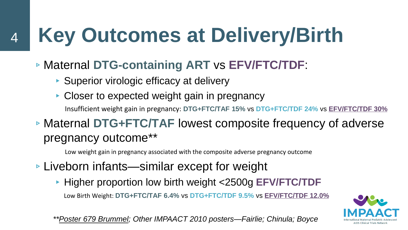# **Key Outcomes at Delivery/Birth**

- ▹Maternal **DTG-containing ART** vs **EFV/FTC/TDF**:
	- ▶ Superior virologic efficacy at delivery

4

- ▸ Closer to expected weight gain in pregnancy Insufficient weight gain in pregnancy: **DTG+FTC/TAF 15%** vs **DTG+FTC/TDF 24%** vs **EFV/FTC/TDF 30%**
- ▹Maternal **DTG+FTC/TAF** lowest composite frequency of adverse pregnancy outcome\*\*

Low weight gain in pregnancy associated with the composite adverse pregnancy outcome

- ▹Liveborn infants—similar except for weight
	- ▸ Higher proportion low birth weight <2500g **EFV/FTC/TDF** Low Birth Weight: **DTG+FTC/TAF 6.4%** vs **DTG+FTC/TDF 9.5%** vs **EFV/FTC/TDF 12.0%**



*\*\*Poster 679 Brummel; Other IMPAACT 2010 posters—Fairlie; Chinula; Boyce*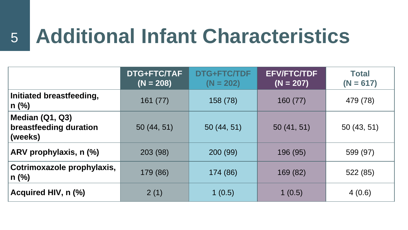### <sup>5</sup> **Additional Infant Characteristics**

|                                                      | DTG+FTC/TAF<br>$(N = 208)$ | DTG+FTC/TDF<br>$(N = 202)$ | <b>EFV/FTC/TDF</b><br>$(N = 207)$ | <b>Total</b><br>$(N = 617)$ |
|------------------------------------------------------|----------------------------|----------------------------|-----------------------------------|-----------------------------|
| Initiated breastfeeding,<br>$n$ (%)                  | 161(77)                    | 158 (78)                   | 160(77)                           | 479 (78)                    |
| Median (Q1, Q3)<br>breastfeeding duration<br>(weeks) | 50(44, 51)                 | 50(44, 51)                 | 50(41, 51)                        | 50(43, 51)                  |
| ARV prophylaxis, n (%)                               | 203 (98)                   | 200 (99)                   | 196 (95)                          | 599 (97)                    |
| Cotrimoxazole prophylaxis,<br>$n$ (%)                | 179 (86)                   | 174 (86)                   | 169 (82)                          | 522 (85)                    |
| Acquired HIV, n (%)                                  | 2(1)                       | 1(0.5)                     | 1(0.5)                            | 4(0.6)                      |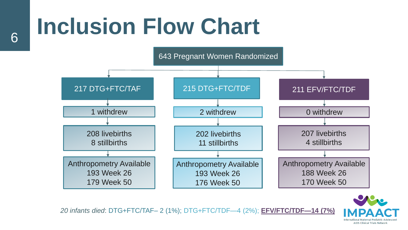# **Inclusion Flow Chart** <sup>6</sup>

643 Pregnant Women Randomized



**AIDS Clinical Trials Networl** 

*20 infants died*: DTG+FTC/TAF– 2 (1%); DTG+FTC/TDF—4 (2%); **EFV/FTC/TDF—14 (7%)**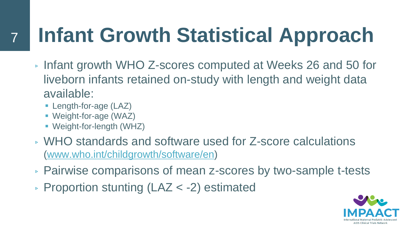## **Infant Growth Statistical Approach**

- ▹ Infant growth WHO Z-scores computed at Weeks 26 and 50 for liveborn infants retained on-study with length and weight data available:
	- **E** Length-for-age (LAZ)

7

- Weight-for-age (WAZ)
- **Weight-for-length (WHZ)**
- ▹ WHO standards and software used for Z-score calculations ([www.who.int/childgrowth/software/en](http://www.who.int/childgrowth/software/en))
- ▹ Pairwise comparisons of mean z-scores by two-sample t-tests
- ▹ Proportion stunting (LAZ < -2) estimated

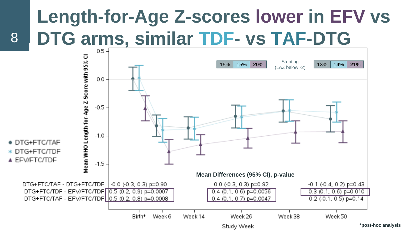## **Length-for-Age Z-scores lower in EFV vs DTG arms, similar TDF- vs TAF-DTG**



8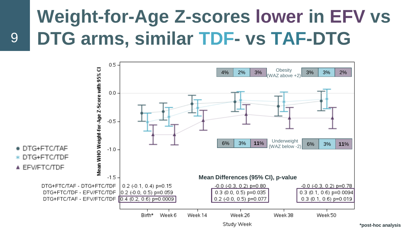#### **Weight-for-Age Z-scores lower in EFV vs DTG arms, similar TDF- vs TAF-DTG**



9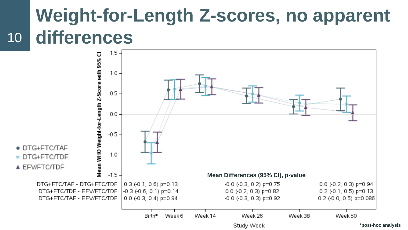#### 10 **Weight-for-Length Z-scores, no apparent differences**

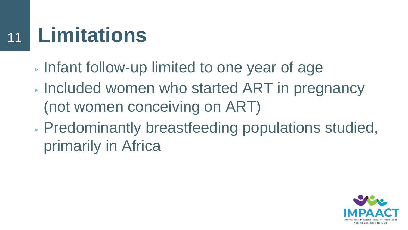#### **Limitations** 11

- ▹ Infant follow-up limited to one year of age
- ▹ Included women who started ART in pregnancy (not women conceiving on ART)
- ▹ Predominantly breastfeeding populations studied, primarily in Africa

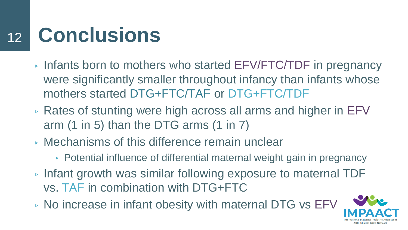#### **Conclusions** 12

- ▹ Infants born to mothers who started EFV/FTC/TDF in pregnancy were significantly smaller throughout infancy than infants whose mothers started DTG+FTC/TAF or DTG+FTC/TDF
- ▹ Rates of stunting were high across all arms and higher in EFV arm (1 in 5) than the DTG arms (1 in 7)
- ▹ Mechanisms of this difference remain unclear
	- ▸ Potential influence of differential maternal weight gain in pregnancy
- ▹ Infant growth was similar following exposure to maternal TDF vs. TAF in combination with DTG+FTC
- ▹ No increase in infant obesity with maternal DTG vs EFV

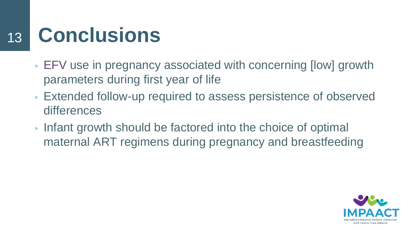#### **Conclusions** 13

- ▹ EFV use in pregnancy associated with concerning [low] growth parameters during first year of life
- ▹ Extended follow-up required to assess persistence of observed differences
- ▹ Infant growth should be factored into the choice of optimal maternal ART regimens during pregnancy and breastfeeding